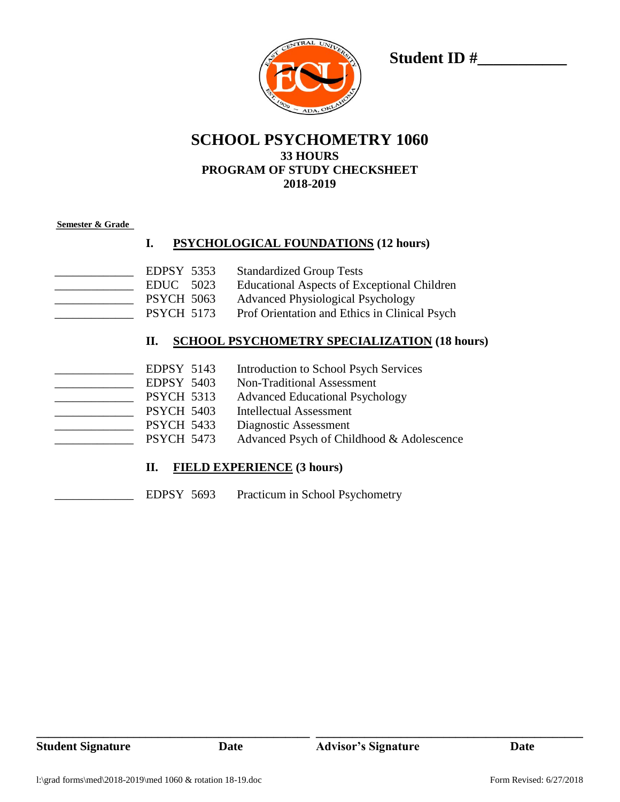

Student ID #

## **SCHOOL PSYCHOMETRY 1060 33 HOURS PROGRAM OF STUDY CHECKSHEET 2018-2019**

#### **Semester & Grade**

#### **I. PSYCHOLOGICAL FOUNDATIONS (12 hours)**

- EDPSY 5353 Standardized Group Tests EDUC 5023 Educational Aspects of Exceptional Children \_\_\_\_\_ PSYCH 5063 Advanced Physiological Psychology
	- PSYCH 5173 Prof Orientation and Ethics in Clinical Psych

## **II. SCHOOL PSYCHOMETRY SPECIALIZATION (18 hours)**

| EDPSY 5143        | <b>Introduction to School Psych Services</b> |
|-------------------|----------------------------------------------|
| <b>EDPSY 5403</b> | Non-Traditional Assessment                   |
| <b>PSYCH 5313</b> | <b>Advanced Educational Psychology</b>       |
| <b>PSYCH 5403</b> | <b>Intellectual Assessment</b>               |
| <b>PSYCH 5433</b> | Diagnostic Assessment                        |
| <b>PSYCH 5473</b> | Advanced Psych of Childhood & Adolescence    |

#### **II. FIELD EXPERIENCE (3 hours)**

EDPSY 5693 Practicum in School Psychometry

**\_\_\_\_\_\_\_\_\_\_\_\_\_\_\_\_\_\_\_\_\_\_\_\_\_\_\_\_\_\_\_\_\_\_\_\_\_\_\_\_\_\_\_\_\_ \_\_\_\_\_\_\_\_\_\_\_\_\_\_\_\_\_\_\_\_\_\_\_\_\_\_\_\_\_\_\_\_\_\_\_\_\_\_\_\_\_\_\_\_**